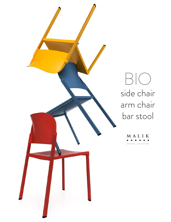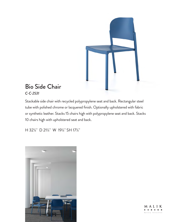

## Bio Side Chair *C-C-2531*

Stackable side chair with recycled polypropylene seat and back. Rectangular steel tube with polished chrome or lacquered finish. Optionally upholstered with fabric or synthetic leather. Stacks 15 chairs high with polypropylene seat and back. Stacks 10 chairs high with upholstered seat and back.

H 32¼" D 21¼" W 19¼" SH 17¼"



MALIK . . . . . .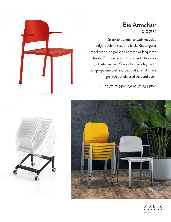## Bio Armchair *C-C-2532*

Stackable armchair with recycled polypropylene seat and back. Rectangular steel tube with polished chrome or lacquered finish. Optionally upholstered with fabric or synthetic leather. Stacks 15 chairs high with polypropylene seat and back. Stacks 10 chairs high with upholstered seat and back.

H 32¼" D 21¼" W 19¼" SH 17¼"